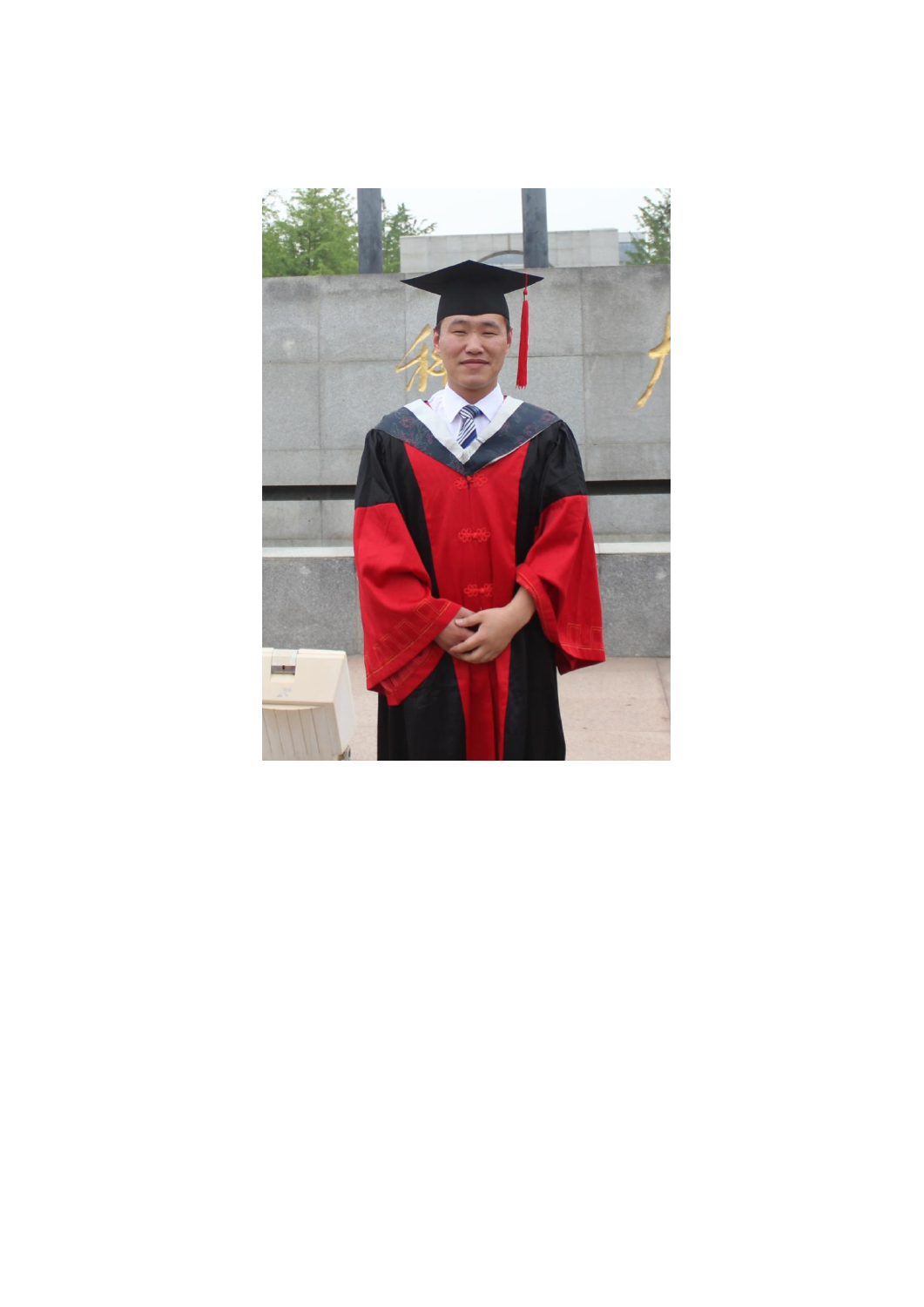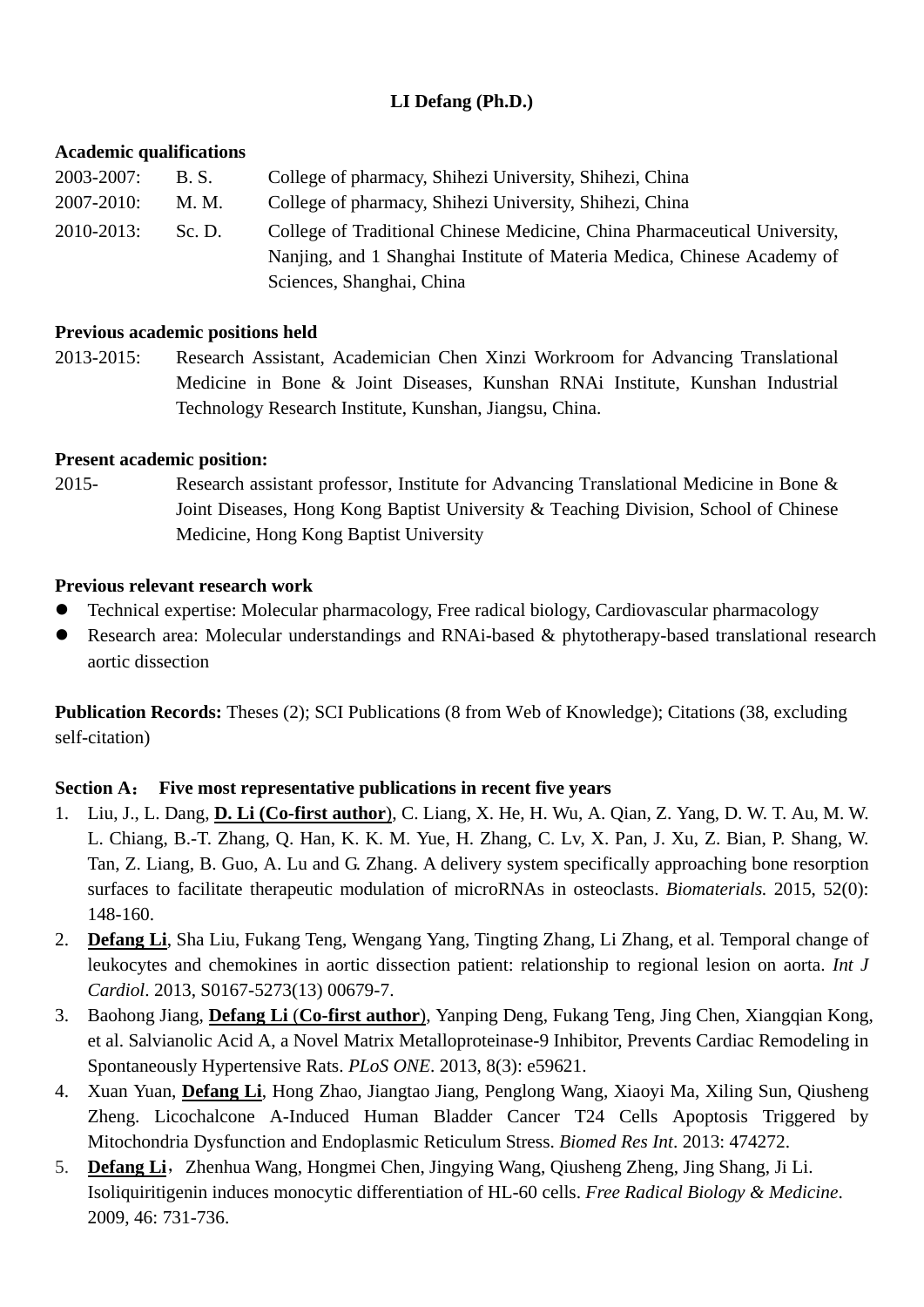## **LI Defang (Ph.D.)**

#### **Academic qualifications**

| 2003-2007:      | B.S.   | College of pharmacy, Shihezi University, Shihezi, China                   |
|-----------------|--------|---------------------------------------------------------------------------|
| $2007 - 2010$ : | M. M.  | College of pharmacy, Shihezi University, Shihezi, China                   |
| $2010 - 2013$ : | Sc. D. | College of Traditional Chinese Medicine, China Pharmaceutical University, |
|                 |        | Nanjing, and 1 Shanghai Institute of Materia Medica, Chinese Academy of   |
|                 |        | Sciences, Shanghai, China                                                 |

#### **Previous academic positions held**

2013-2015: Research Assistant, Academician Chen Xinzi Workroom for Advancing Translational Medicine in Bone & Joint Diseases, Kunshan RNAi Institute, Kunshan Industrial Technology Research Institute, Kunshan, Jiangsu, China.

## **Present academic position:**

2015- Research assistant professor, Institute for Advancing Translational Medicine in Bone & Joint Diseases, Hong Kong Baptist University & Teaching Division, School of Chinese Medicine, Hong Kong Baptist University

### **Previous relevant research work**

- Technical expertise: Molecular pharmacology, Free radical biology, Cardiovascular pharmacology
- Research area: Molecular understandings and RNAi-based & phytotherapy-based translational research aortic dissection

**Publication Records:** Theses (2); SCI Publications (8 from Web of Knowledge); Citations (38, excluding self-citation)

## **Section A**: **Five most representative publications in recent five years**

- 1. Liu, J., L. Dang, **D. Li (Co-first author**), C. Liang, X. He, H. Wu, A. Qian, Z. Yang, D. W. T. Au, M. W. L. Chiang, B.-T. Zhang, Q. Han, K. K. M. Yue, H. Zhang, C. Lv, X. Pan, J. Xu, Z. Bian, P. Shang, W. Tan, Z. Liang, B. Guo, A. Lu and G. Zhang. A delivery system specifically approaching bone resorption surfaces to facilitate therapeutic modulation of microRNAs in osteoclasts. *Biomaterials.* 2015, 52(0): 148-160.
- 2. **Defang Li**, Sha Liu, Fukang Teng, Wengang Yang, Tingting Zhang, Li Zhang, et al. Temporal change of leukocytes and chemokines in aortic dissection patient: relationship to regional lesion on aorta. *Int J Cardiol*. 2013, S0167-5273(13) 00679-7.
- 3. Baohong Jiang, **Defang Li** (**Co-first author**), Yanping Deng, Fukang Teng, Jing Chen, Xiangqian Kong, et al. Salvianolic Acid A, a Novel Matrix Metalloproteinase-9 Inhibitor, Prevents Cardiac Remodeling in Spontaneously Hypertensive Rats. *PLoS ONE*. 2013, 8(3): e59621.
- 4. Xuan Yuan, **Defang Li**, Hong Zhao, Jiangtao Jiang, Penglong Wang, Xiaoyi Ma, Xiling Sun, Qiusheng Zheng. Licochalcone A-Induced Human Bladder Cancer T24 Cells Apoptosis Triggered by Mitochondria Dysfunction and Endoplasmic Reticulum Stress. *Biomed Res Int*. 2013: 474272.
- 5. **Defang Li**, Zhenhua Wang, Hongmei Chen, Jingying Wang, Qiusheng Zheng, Jing Shang, Ji Li. Isoliquiritigenin induces monocytic differentiation of HL-60 cells. *Free Radical Biology & Medicine*. 2009, 46: 731-736.